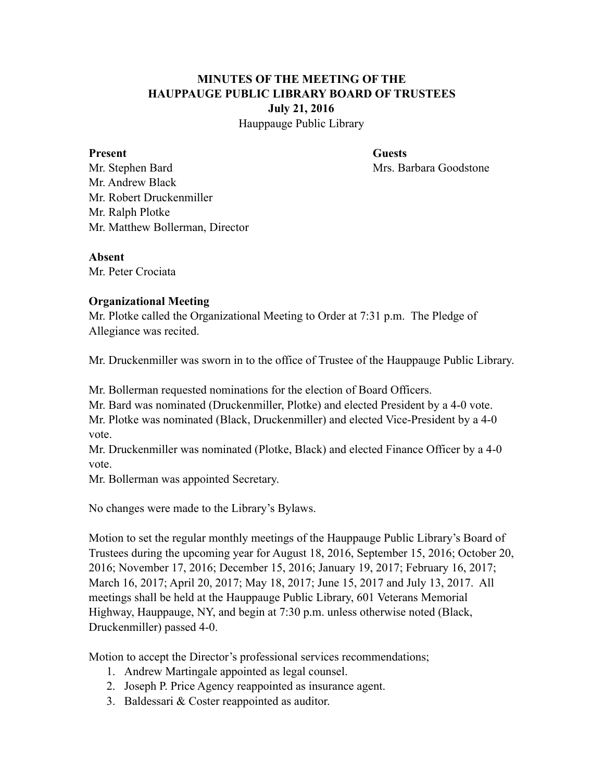# **MINUTES OF THE MEETING OF THE HAUPPAUGE PUBLIC LIBRARY BOARD OF TRUSTEES July 21, 2016**

Hauppauge Public Library

#### Present Guests

Mr. Stephen Bard Mrs. Barbara Goodstone Mr. Andrew Black Mr. Robert Druckenmiller Mr. Ralph Plotke Mr. Matthew Bollerman, Director

#### **Absent**

Mr. Peter Crociata

# **Organizational Meeting**

Mr. Plotke called the Organizational Meeting to Order at 7:31 p.m. The Pledge of Allegiance was recited.

Mr. Druckenmiller was sworn in to the office of Trustee of the Hauppauge Public Library.

Mr. Bollerman requested nominations for the election of Board Officers.

Mr. Bard was nominated (Druckenmiller, Plotke) and elected President by a 4-0 vote.

Mr. Plotke was nominated (Black, Druckenmiller) and elected Vice-President by a 4-0 vote.

Mr. Druckenmiller was nominated (Plotke, Black) and elected Finance Officer by a 4-0 vote.

Mr. Bollerman was appointed Secretary.

No changes were made to the Library's Bylaws.

Motion to set the regular monthly meetings of the Hauppauge Public Library's Board of Trustees during the upcoming year for August 18, 2016, September 15, 2016; October 20, 2016; November 17, 2016; December 15, 2016; January 19, 2017; February 16, 2017; March 16, 2017; April 20, 2017; May 18, 2017; June 15, 2017 and July 13, 2017. All meetings shall be held at the Hauppauge Public Library, 601 Veterans Memorial Highway, Hauppauge, NY, and begin at 7:30 p.m. unless otherwise noted (Black, Druckenmiller) passed 4-0.

Motion to accept the Director's professional services recommendations;

- 1. Andrew Martingale appointed as legal counsel.
- 2. Joseph P. Price Agency reappointed as insurance agent.
- 3. Baldessari & Coster reappointed as auditor.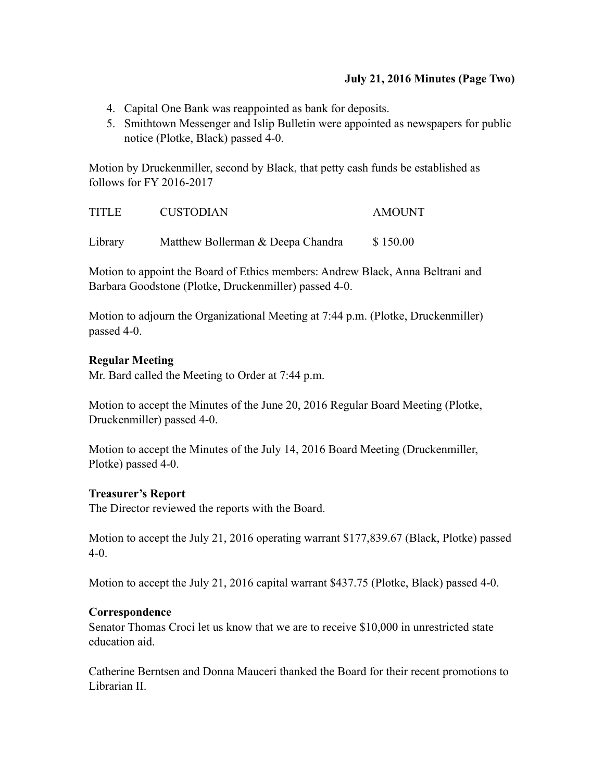# **July 21, 2016 Minutes (Page Two)**

- 4. Capital One Bank was reappointed as bank for deposits.
- 5. Smithtown Messenger and Islip Bulletin were appointed as newspapers for public notice (Plotke, Black) passed 4-0.

Motion by Druckenmiller, second by Black, that petty cash funds be established as follows for FY 2016-2017

| <b>TITLE</b> | <b>CUSTODIAN</b>                  | <b>AMOUNT</b> |
|--------------|-----------------------------------|---------------|
| Library      | Matthew Bollerman & Deepa Chandra | \$150.00      |

Motion to appoint the Board of Ethics members: Andrew Black, Anna Beltrani and Barbara Goodstone (Plotke, Druckenmiller) passed 4-0.

Motion to adjourn the Organizational Meeting at 7:44 p.m. (Plotke, Druckenmiller) passed 4-0.

## **Regular Meeting**

Mr. Bard called the Meeting to Order at 7:44 p.m.

Motion to accept the Minutes of the June 20, 2016 Regular Board Meeting (Plotke, Druckenmiller) passed 4-0.

Motion to accept the Minutes of the July 14, 2016 Board Meeting (Druckenmiller, Plotke) passed 4-0.

#### **Treasurer's Report**

The Director reviewed the reports with the Board.

Motion to accept the July 21, 2016 operating warrant \$177,839.67 (Black, Plotke) passed 4-0.

Motion to accept the July 21, 2016 capital warrant \$437.75 (Plotke, Black) passed 4-0.

#### **Correspondence**

Senator Thomas Croci let us know that we are to receive \$10,000 in unrestricted state education aid.

Catherine Berntsen and Donna Mauceri thanked the Board for their recent promotions to Librarian II.